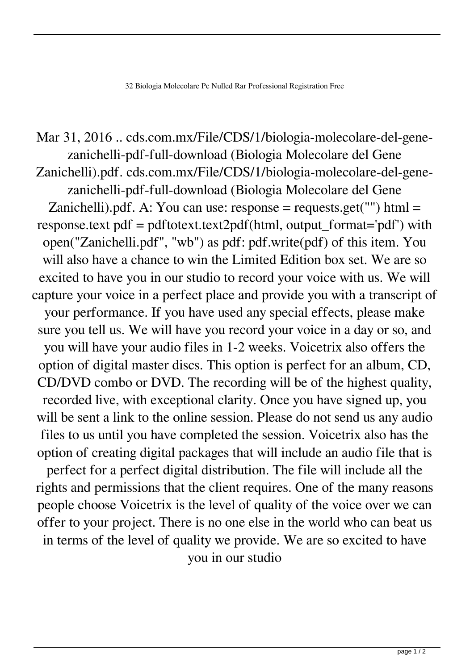Mar 31, 2016 .. cds.com.mx/File/CDS/1/biologia-molecolare-del-genezanichelli-pdf-full-download (Biologia Molecolare del Gene Zanichelli).pdf. cds.com.mx/File/CDS/1/biologia-molecolare-del-genezanichelli-pdf-full-download (Biologia Molecolare del Gene Zanichelli).pdf. A: You can use:  $response = requests.get("")$  html = response.text pdf = pdftotext.text2pdf(html, output\_format='pdf') with open("Zanichelli.pdf", "wb") as pdf: pdf.write(pdf) of this item. You will also have a chance to win the Limited Edition box set. We are so excited to have you in our studio to record your voice with us. We will capture your voice in a perfect place and provide you with a transcript of your performance. If you have used any special effects, please make sure you tell us. We will have you record your voice in a day or so, and you will have your audio files in 1-2 weeks. Voicetrix also offers the option of digital master discs. This option is perfect for an album, CD, CD/DVD combo or DVD. The recording will be of the highest quality, recorded live, with exceptional clarity. Once you have signed up, you will be sent a link to the online session. Please do not send us any audio files to us until you have completed the session. Voicetrix also has the option of creating digital packages that will include an audio file that is perfect for a perfect digital distribution. The file will include all the rights and permissions that the client requires. One of the many reasons people choose Voicetrix is the level of quality of the voice over we can offer to your project. There is no one else in the world who can beat us in terms of the level of quality we provide. We are so excited to have you in our studio